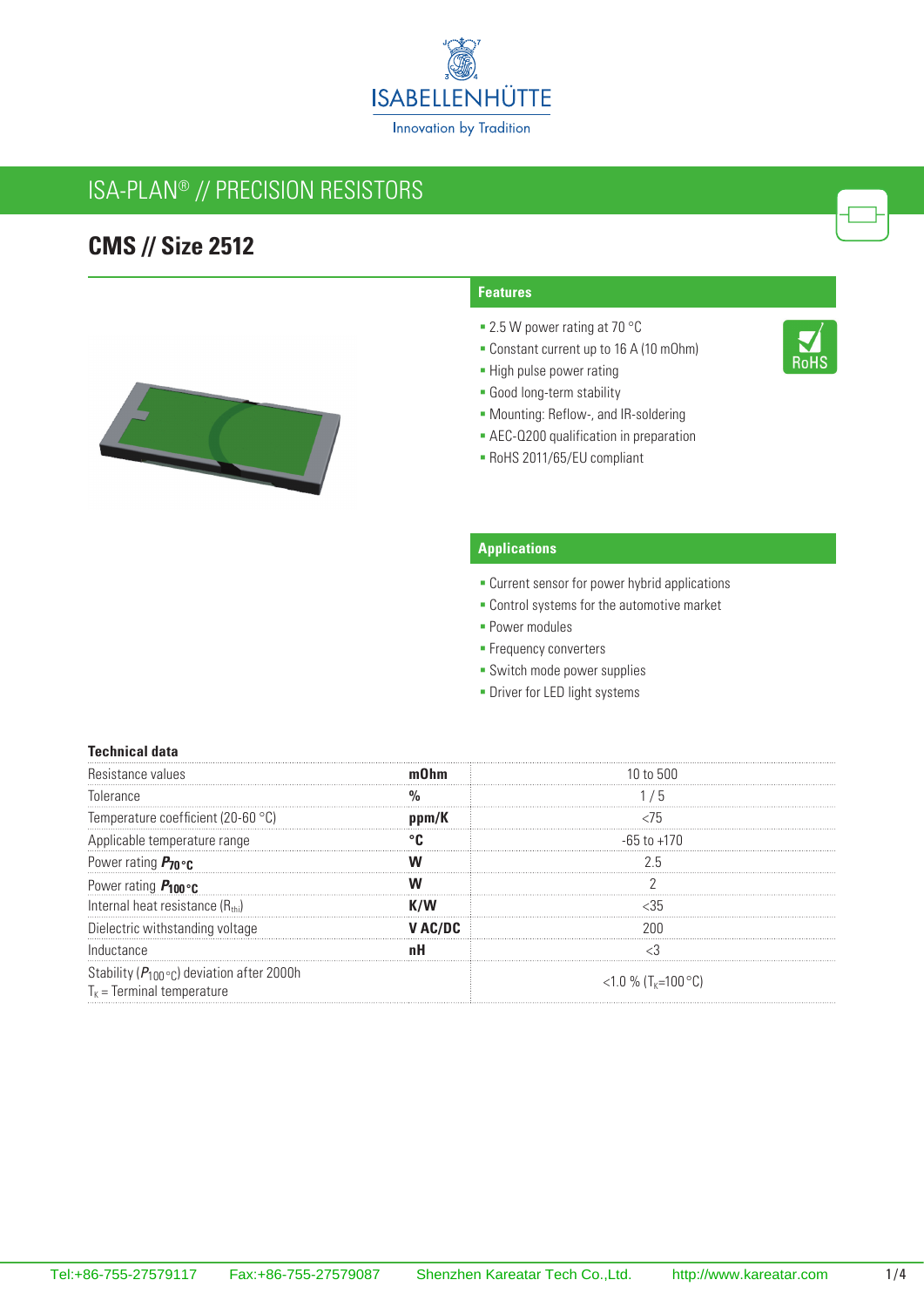

## ISA-PLAN® // Precision resistors

### **CMS // Size 2512**



#### **Features**

- 2.5 W power rating at 70 °C
- Constant current up to 16 A (10 mOhm)
- **-** High pulse power rating
- Good long-term stability
- Mounting: Reflow-, and IR-soldering
- **AEC-Q200 qualification in preparation**
- RoHS 2011/65/EU compliant

### **Applications**

- **Current sensor for power hybrid applications**
- **Control systems for the automotive market**
- **Power modules**
- **Frequency converters**
- **-** Switch mode power supplies
- **-** Driver for LED light systems

#### **Technical data**

| Tolerance                                                                                    |       | b                                     |
|----------------------------------------------------------------------------------------------|-------|---------------------------------------|
| Temperature coefficient (20-60 °C)                                                           | nnm/K |                                       |
| Applicable temperature range                                                                 |       | -65 to +170                           |
| Power rating $P_{70}$ or                                                                     |       |                                       |
| Power rating $P_{100}$ °C                                                                    |       |                                       |
| Internal heat resistance $(R_{\text{th}})$                                                   |       |                                       |
| Dielectric withstanding voltage                                                              |       |                                       |
| Inductance                                                                                   |       |                                       |
| Stability ( $P_{100}$ ° <sub>C</sub> ) deviation after 2000h<br>$T_k$ = Terminal temperature |       | <1.0 % $(T_{\kappa} = 100 \degree C)$ |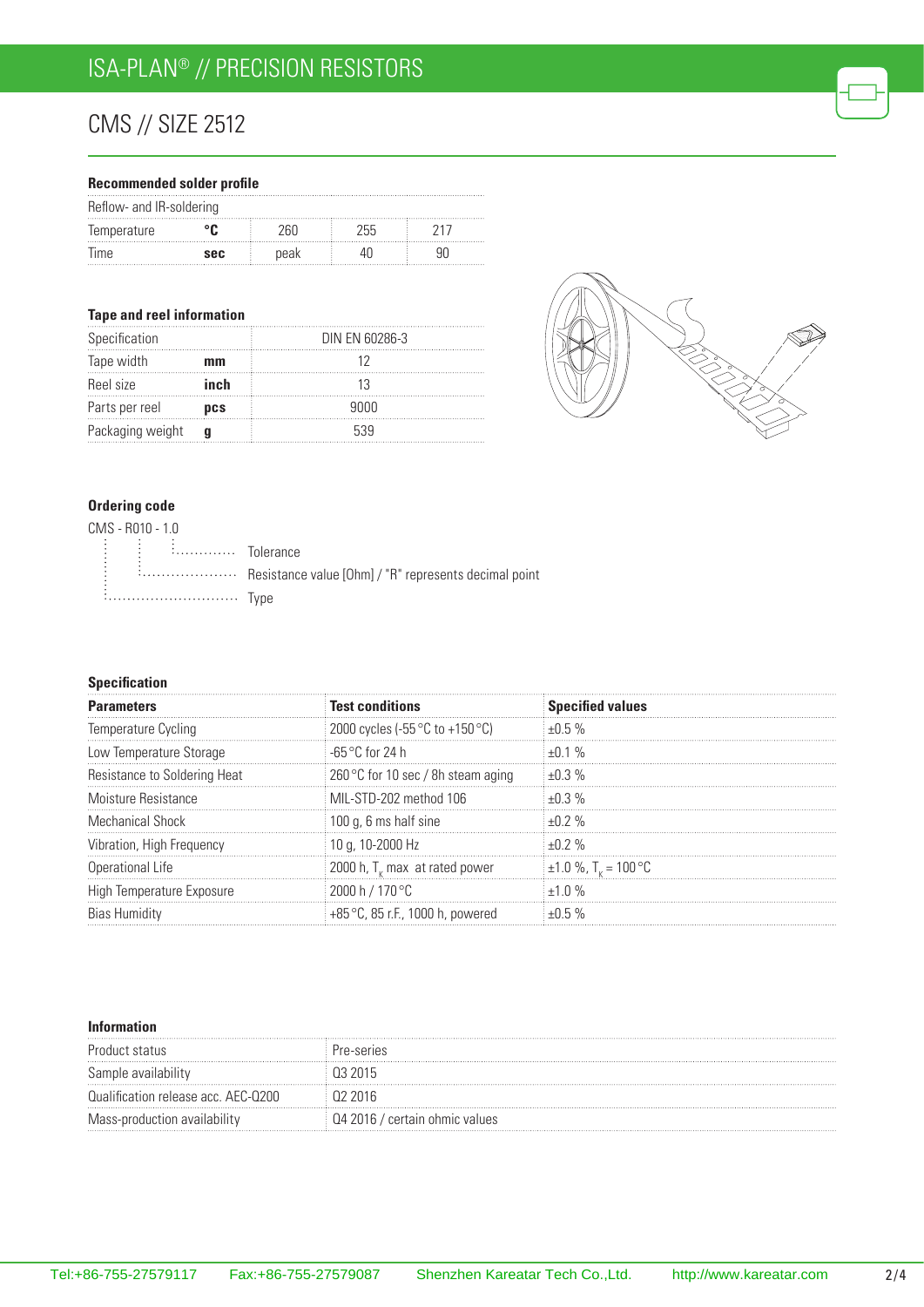# CMS // Size 2512

### **Recommended solder profile**

| Reflow- and IR-soldering |            |      |      |  |
|--------------------------|------------|------|------|--|
| Temperature              |            | 76L) | 255. |  |
| lime                     | <b>SAC</b> | peak |      |  |

#### **Tape and reel information**

| Specification    |            | DIN EN 60286-3 |
|------------------|------------|----------------|
| Tape width       | mm         |                |
| Reel size        | inch       |                |
| Parts per reel   | <b>DCS</b> | 9000           |
| Packaging weight |            | 539            |



### **Ordering code**

| CMS - R010 - 1.0                                                                                                                                                                                                                    |  |
|-------------------------------------------------------------------------------------------------------------------------------------------------------------------------------------------------------------------------------------|--|
| $\begin{bmatrix} \vdots & \vdots & \vdots \end{bmatrix}$ $\begin{bmatrix} \vdots & \vdots & \vdots \end{bmatrix}$ $\begin{bmatrix} \vdots & \vdots & \vdots \end{bmatrix}$ $\begin{bmatrix} \vdots & \vdots & \vdots \end{bmatrix}$ |  |
|                                                                                                                                                                                                                                     |  |
| <i>i</i> Type                                                                                                                                                                                                                       |  |

#### **Specification**

| <b>Parameters</b>            | <b>Test conditions</b>                            | <b>Specified values</b>              |
|------------------------------|---------------------------------------------------|--------------------------------------|
| Temperature Cycling          | 2000 cycles (-55 $\degree$ C to +150 $\degree$ C) | $+0.5%$                              |
| Low Temperature Storage      | ⊟-65 °C for 24 h                                  | $+0.1%$                              |
| Resistance to Soldering Heat | 260 °C for 10 sec / 8h steam aging                | $+0.3\%$                             |
| Moisture Resistance          | MIL-STD-202 method 106                            | $+0.3\%$                             |
| Mechanical Shock             | 100 g, 6 ms half sine                             | $+0.2%$                              |
| Vibration, High Frequency    | 10 g, 10-2000 Hz                                  | +በ 2 %                               |
| Operational Life             | 2000 h, $T_{\nu}$ max at rated power              | $\pm 1.0$ %, T <sub>r</sub> = 100 °C |
| High Temperature Exposure    | 2000 h / 170 °C                                   | $+1.0\%$                             |
|                              | +85 °C, 85 r.F., 1000 h, powered                  |                                      |

#### **Information**

| Product status                      | re-series                   |
|-------------------------------------|-----------------------------|
| Sample availability                 |                             |
| Qualification release acc. AEC-Q200 |                             |
| Mass-production availability        | 2016 / certain ohmic values |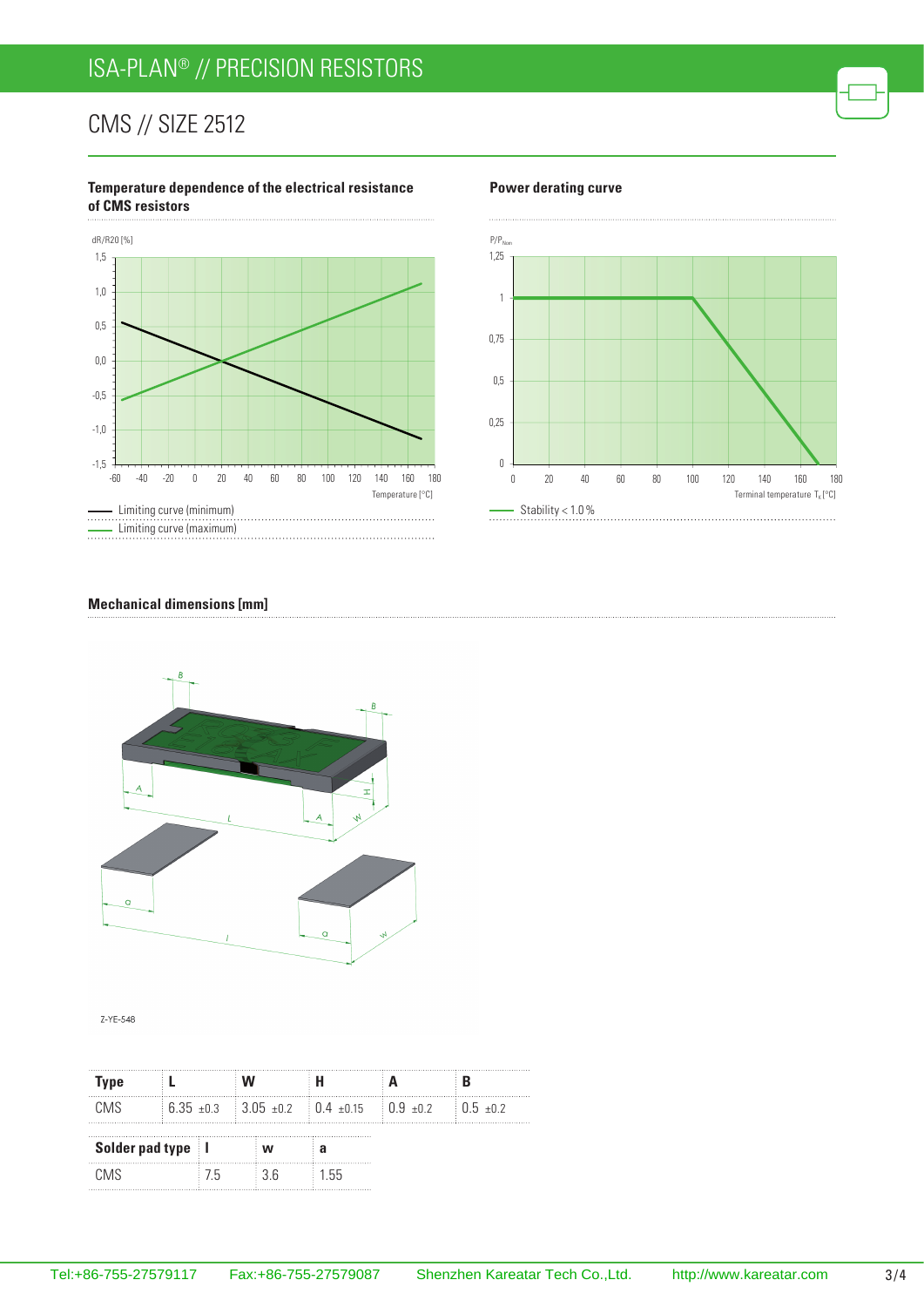# ISA-PLAN® // Precision resistors

## CMS // Size 2512

#### **Temperature dependence of the electrical resistance of CMS resistors**



#### **Power derating curve**



#### **Mechanical dimensions [mm]**



Z-YE-548

| Type                |  |     |    |                                                                          |  |
|---------------------|--|-----|----|--------------------------------------------------------------------------|--|
| CMS.                |  |     |    | $6.35 \pm 0.3$ 3.05 $\pm 0.2$ 0.4 $\pm 0.15$ 0.9 $\pm 0.2$ 0.5 $\pm 0.2$ |  |
| Solder pad type   I |  | W   | а  |                                                                          |  |
| CM <sub>S</sub>     |  | / h | 36 | $+55$                                                                    |  |